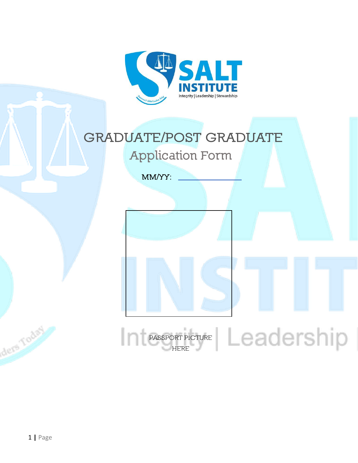

### **GRADUATE/POST GRADUATE Application Form**

**MM/YY:**

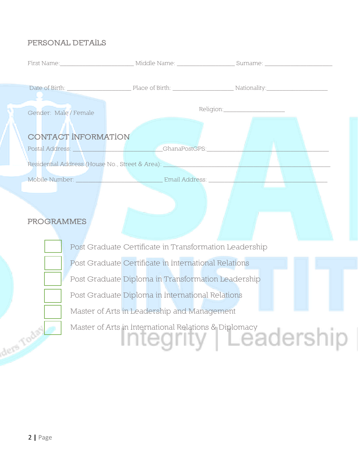#### **PERSONAL DETAILS**

| Gender: Male / Female                                                                                                                                                                                                                                        |                                                        |  |                                                                                                                   |  |  |  |
|--------------------------------------------------------------------------------------------------------------------------------------------------------------------------------------------------------------------------------------------------------------|--------------------------------------------------------|--|-------------------------------------------------------------------------------------------------------------------|--|--|--|
| <b>CONTACT INFORMATION</b><br>Postal Address: National Address: National Address: National Address: National Address: National Address: National Address: National Address: National Address: National Address: National Address: National Address: National |                                                        |  |                                                                                                                   |  |  |  |
|                                                                                                                                                                                                                                                              |                                                        |  | Mobile Number: New York & Handburg Email Address: New York & Handburg & Handburg & Handburg & Handburg & Handburg |  |  |  |
| <b>PROGRAMMES</b>                                                                                                                                                                                                                                            |                                                        |  |                                                                                                                   |  |  |  |
|                                                                                                                                                                                                                                                              | Post Graduate Certificate in Transformation Leadership |  |                                                                                                                   |  |  |  |
|                                                                                                                                                                                                                                                              | Post Graduate Certificate in International Relations   |  |                                                                                                                   |  |  |  |
|                                                                                                                                                                                                                                                              | Post Graduate Diploma in Transformation Leadership     |  |                                                                                                                   |  |  |  |
|                                                                                                                                                                                                                                                              | Post Graduate Diploma in International Relations       |  |                                                                                                                   |  |  |  |
|                                                                                                                                                                                                                                                              | Master of Arts in Leadership and Management            |  |                                                                                                                   |  |  |  |

Master of Arts in International Relations & Diplomacy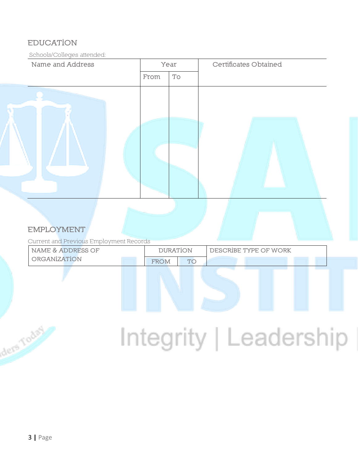#### **EDUCATION**

Schools/Colleges attended:

| Name and Address |  | Year |                              | Certificates Obtained |
|------------------|--|------|------------------------------|-----------------------|
|                  |  | From | $\operatorname{\mathsf{To}}$ |                       |
|                  |  |      |                              |                       |

#### **EMPLOYMENT**

Current and Previous Employment Records

| NAME & ADDRESS OF | <b>DURATION</b> |  | DESCRIBE TYPE OF WORK |  |
|-------------------|-----------------|--|-----------------------|--|
| ORGANIZATION      | <b>FROM</b>     |  |                       |  |

## Integrity | Leadership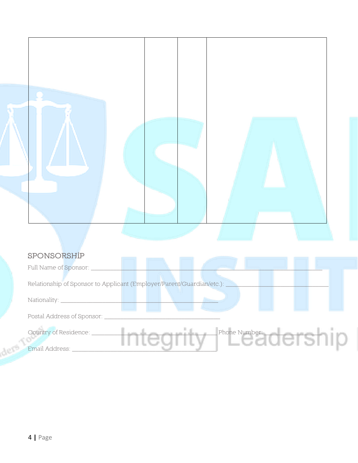

#### **SPONSORSHIP**

| Full Name of Sponsor: ____                                              |
|-------------------------------------------------------------------------|
| Relationship of Sponsor to Applicant (Employer/Parent/Guardian/etc.): _ |
| Nationality: _                                                          |
| Postal Address of Sponsor:                                              |
| Phone Number<br>Country of Residence: _<br>Email Address:               |

dere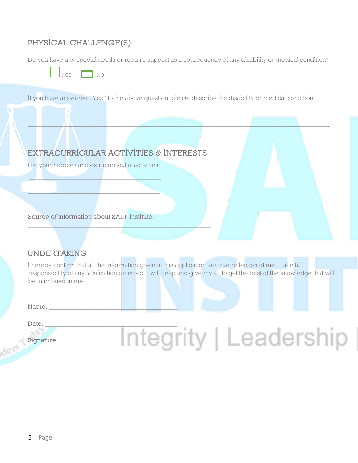#### **PHYSICAL CHALLENGE(S)**

Do you have any special needs or require support as a consequence of any disability or medical condition?



If you have answered "Yes" to the above question, please describe the disability or medical condition.

\_\_\_\_\_\_\_\_\_\_\_\_\_\_\_\_\_\_\_\_\_\_\_\_\_\_\_\_\_\_\_\_\_\_\_\_\_\_\_\_\_\_\_\_\_\_\_\_\_\_\_\_\_\_\_\_\_\_\_\_\_\_\_\_\_\_\_\_\_\_\_\_\_\_\_\_\_\_\_\_\_\_\_\_\_\_\_\_\_\_\_\_\_\_



#### **UNDERTAKING**

I hereby confirm that all the information given in this application are true reflection of me. I take full responsibility of any falsification detected. I will keep and give my all to get the best of the knowledge that will be in imbued in me.

**Name:** \_\_\_\_\_\_\_\_\_\_\_\_\_\_\_\_\_\_\_\_\_\_\_\_\_\_\_\_\_\_\_\_\_\_\_\_\_\_\_\_

Date:

dese

### **Signature:** \_\_\_\_\_\_\_\_\_\_\_\_\_\_\_\_\_\_\_\_\_\_\_\_\_\_\_\_\_\_\_\_\_\_\_\_\_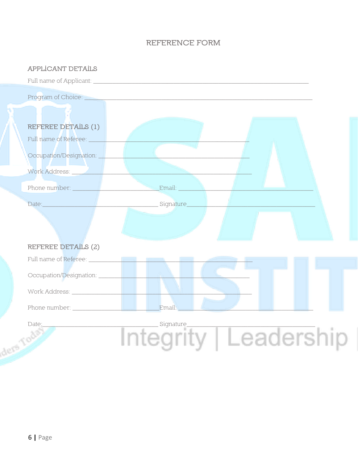#### **REFERENCE FORM**

#### **APPLICANT DETAILS**

Program of Choice: **REFEREE DETAILS (1)** Occupation/Designation: Work Address: Phone number: **Example 2018** Email: Date: **Date:** Signature **REFEREE DETAILS (2)** Date: Signature ders Your

grity | Leadership Ir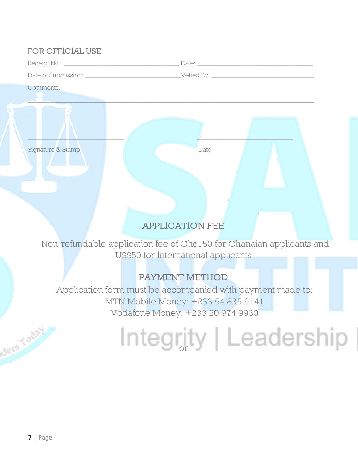#### **FOR OFFICIAL USE**

| Receipt No.:        | Date:      |
|---------------------|------------|
| Date of Submission: | Vetted By: |
| Comments:           |            |

 $\mathcal{L} = \mathcal{L} = \{ \mathcal{L} \in \mathcal{L} \mid \mathcal{L} \in \mathcal{L} \}$  , where  $\mathcal{L} = \{ \mathcal{L} \in \mathcal{L} \}$  , we have  $\mathcal{L} = \{ \mathcal{L} \}$ 

 $\_$  ,  $\_$  ,  $\_$  ,  $\_$  ,  $\_$  ,  $\_$  ,  $\_$  ,  $\_$  ,  $\_$  ,  $\_$  ,  $\_$  ,  $\_$  ,  $\_$  ,  $\_$  ,  $\_$  ,  $\_$  ,  $\_$  ,  $\_$  ,  $\_$  ,  $\_$  ,  $\_$  ,  $\_$  ,  $\_$  ,  $\_$  ,  $\_$  ,  $\_$  ,  $\_$  ,  $\_$  ,  $\_$  ,  $\_$  ,  $\_$  ,  $\_$  ,  $\_$  ,  $\_$  ,  $\_$  ,  $\_$  ,  $\_$  ,

 $\mathcal{L} = \mathcal{L} = \mathcal{L} = \mathcal{L} = \mathcal{L} = \mathcal{L} = \mathcal{L} = \mathcal{L} = \mathcal{L} = \mathcal{L} = \mathcal{L} = \mathcal{L} = \mathcal{L} = \mathcal{L} = \mathcal{L} = \mathcal{L} = \mathcal{L} = \mathcal{L} = \mathcal{L} = \mathcal{L} = \mathcal{L} = \mathcal{L} = \mathcal{L} = \mathcal{L} = \mathcal{L} = \mathcal{L} = \mathcal{L} = \mathcal{L} = \mathcal{L} = \mathcal{L} = \mathcal{L} = \mathcal$ 

Signature & Stamp Date Date Date

**APPLICATION FEE** 

Non-refundable application fee of Gh¢150 for Ghanaian applicants and US\$50 for International applicants

#### **PAYMENT METHOD**

Application form must be accompanied with payment made to: MTN Mobile Money: +233 54 835 9141 Vodafone Money: +233 20 974 9930

### Integrity | Leadership |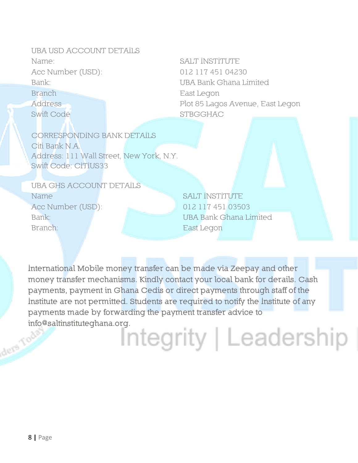UBA USD ACCOUNT DETAILS Name: Acc Number (USD): Bank<sup>.</sup> Branch Address Swift Code

SALT INSTITUTE 012 117 451 04230 UBA Bank Ghana Limited East Legon Plot 85 Lagos Avenue, East Legon **STBGGHAC** 

CORRESPONDING BANK DETAILS Citi Bank N.A. Address: 111 Wall Street, New York, N.Y. Swift Code: CITIUS33

UBA GHS ACCOUNT DETAILS Name Acc Number (USD): Bank: Branch:

**SALT INSTITUTE** 012 117 451 03503 UBA Bank Ghana Limited East Legon

International Mobile money transfer can be made via Zeepay and other money transfer mechanisms. Kindly contact your local bank for derails. Cash payments, payment in Ghana Cedis or direct payments through staff of the Institute are not permitted. Students are required to notify the Institute of any payments made by forwarding the payment transfer advice to info@saltinstituteghana.org. ders Tods

### Integrity | Leadership |